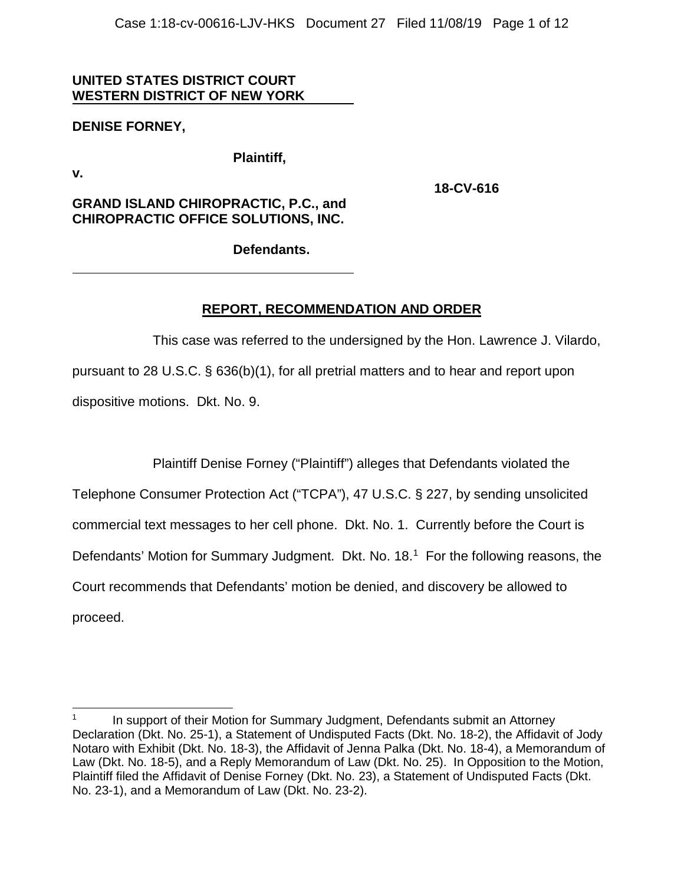# **UNITED STATES DISTRICT COURT WESTERN DISTRICT OF NEW YORK**

# **DENISE FORNEY,**

**Plaintiff,**

**v.**

**18-CV-616**

# **GRAND ISLAND CHIROPRACTIC, P.C., and CHIROPRACTIC OFFICE SOLUTIONS, INC.**

**Defendants.**

# **REPORT, RECOMMENDATION AND ORDER**

This case was referred to the undersigned by the Hon. Lawrence J. Vilardo, pursuant to 28 U.S.C. § 636(b)(1), for all pretrial matters and to hear and report upon dispositive motions. Dkt. No. 9.

Plaintiff Denise Forney ("Plaintiff") alleges that Defendants violated the

Telephone Consumer Protection Act ("TCPA"), 47 U.S.C. § 227, by sending unsolicited

commercial text messages to her cell phone. Dkt. No. 1. Currently before the Court is

Defendants' Motion for Summary Judgment. Dkt. No. 18. [1](#page-0-0) For the following reasons, the

Court recommends that Defendants' motion be denied, and discovery be allowed to

proceed.

<span id="page-0-0"></span> $1$ In support of their Motion for Summary Judgment, Defendants submit an Attorney Declaration (Dkt. No. 25-1), a Statement of Undisputed Facts (Dkt. No. 18-2), the Affidavit of Jody Notaro with Exhibit (Dkt. No. 18-3), the Affidavit of Jenna Palka (Dkt. No. 18-4), a Memorandum of Law (Dkt. No. 18-5), and a Reply Memorandum of Law (Dkt. No. 25). In Opposition to the Motion, Plaintiff filed the Affidavit of Denise Forney (Dkt. No. 23), a Statement of Undisputed Facts (Dkt. No. 23-1), and a Memorandum of Law (Dkt. No. 23-2).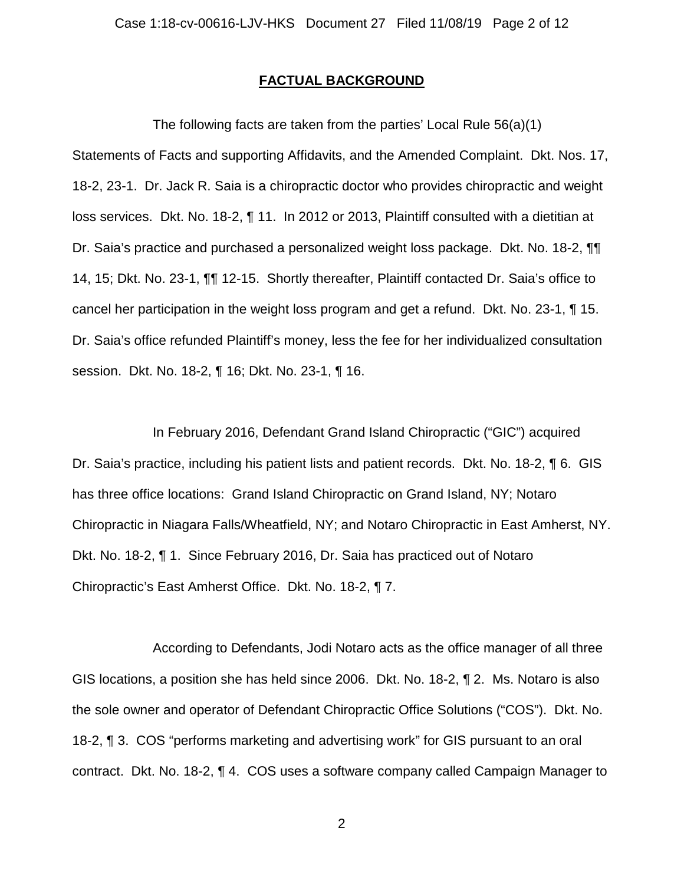## **FACTUAL BACKGROUND**

The following facts are taken from the parties' Local Rule 56(a)(1) Statements of Facts and supporting Affidavits, and the Amended Complaint. Dkt. Nos. 17, 18-2, 23-1. Dr. Jack R. Saia is a chiropractic doctor who provides chiropractic and weight loss services. Dkt. No. 18-2, ¶ 11. In 2012 or 2013, Plaintiff consulted with a dietitian at Dr. Saia's practice and purchased a personalized weight loss package. Dkt. No. 18-2, ¶¶ 14, 15; Dkt. No. 23-1, ¶¶ 12-15. Shortly thereafter, Plaintiff contacted Dr. Saia's office to cancel her participation in the weight loss program and get a refund. Dkt. No. 23-1, ¶ 15. Dr. Saia's office refunded Plaintiff's money, less the fee for her individualized consultation session. Dkt. No. 18-2, ¶ 16; Dkt. No. 23-1, ¶ 16.

In February 2016, Defendant Grand Island Chiropractic ("GIC") acquired Dr. Saia's practice, including his patient lists and patient records. Dkt. No. 18-2, ¶ 6. GIS has three office locations: Grand Island Chiropractic on Grand Island, NY; Notaro Chiropractic in Niagara Falls/Wheatfield, NY; and Notaro Chiropractic in East Amherst, NY. Dkt. No. 18-2, ¶ 1. Since February 2016, Dr. Saia has practiced out of Notaro Chiropractic's East Amherst Office. Dkt. No. 18-2, ¶ 7.

According to Defendants, Jodi Notaro acts as the office manager of all three GIS locations, a position she has held since 2006. Dkt. No. 18-2, ¶ 2. Ms. Notaro is also the sole owner and operator of Defendant Chiropractic Office Solutions ("COS"). Dkt. No. 18-2, ¶ 3. COS "performs marketing and advertising work" for GIS pursuant to an oral contract. Dkt. No. 18-2, ¶ 4. COS uses a software company called Campaign Manager to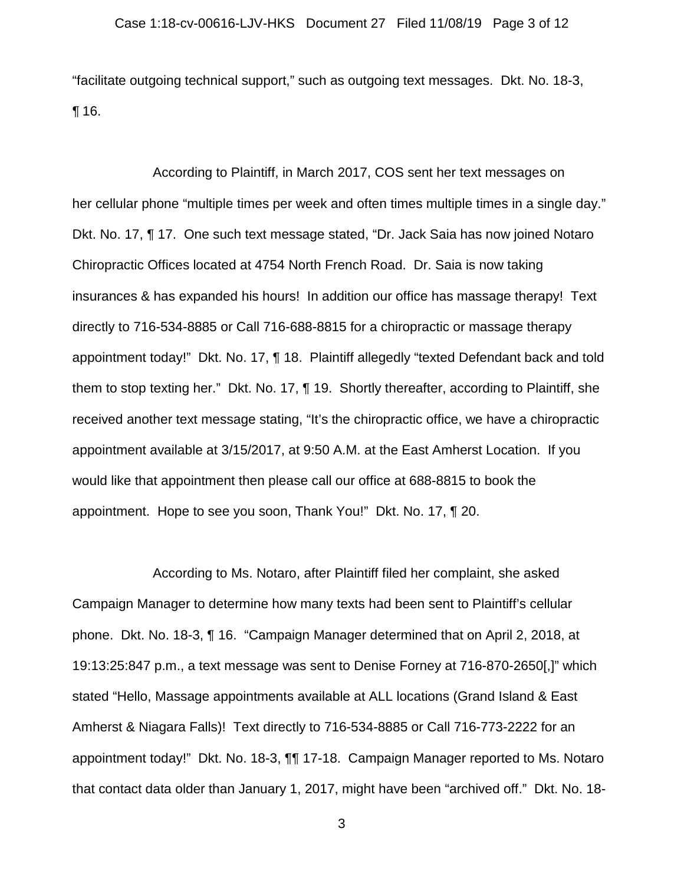"facilitate outgoing technical support," such as outgoing text messages. Dkt. No. 18-3, ¶ 16.

According to Plaintiff, in March 2017, COS sent her text messages on her cellular phone "multiple times per week and often times multiple times in a single day." Dkt. No. 17, ¶ 17. One such text message stated, "Dr. Jack Saia has now joined Notaro Chiropractic Offices located at 4754 North French Road. Dr. Saia is now taking insurances & has expanded his hours! In addition our office has massage therapy! Text directly to 716-534-8885 or Call 716-688-8815 for a chiropractic or massage therapy appointment today!" Dkt. No. 17, ¶ 18. Plaintiff allegedly "texted Defendant back and told them to stop texting her." Dkt. No. 17, ¶ 19. Shortly thereafter, according to Plaintiff, she received another text message stating, "It's the chiropractic office, we have a chiropractic appointment available at 3/15/2017, at 9:50 A.M. at the East Amherst Location. If you would like that appointment then please call our office at 688-8815 to book the appointment. Hope to see you soon, Thank You!" Dkt. No. 17, ¶ 20.

According to Ms. Notaro, after Plaintiff filed her complaint, she asked Campaign Manager to determine how many texts had been sent to Plaintiff's cellular phone. Dkt. No. 18-3, ¶ 16. "Campaign Manager determined that on April 2, 2018, at 19:13:25:847 p.m., a text message was sent to Denise Forney at 716-870-2650[,]" which stated "Hello, Massage appointments available at ALL locations (Grand Island & East Amherst & Niagara Falls)! Text directly to 716-534-8885 or Call 716-773-2222 for an appointment today!" Dkt. No. 18-3, ¶¶ 17-18. Campaign Manager reported to Ms. Notaro that contact data older than January 1, 2017, might have been "archived off." Dkt. No. 18-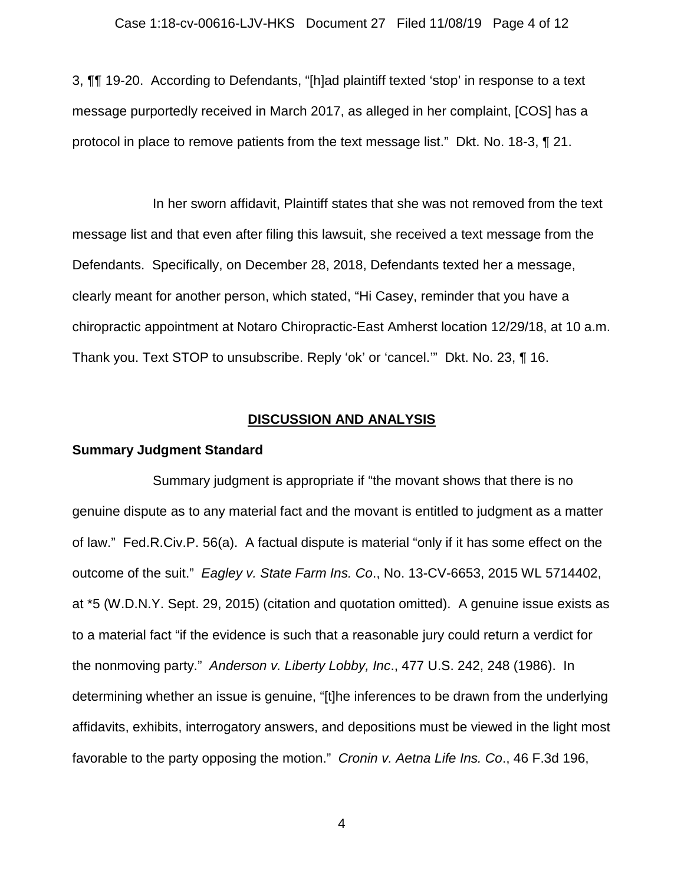3, ¶¶ 19-20. According to Defendants, "[h]ad plaintiff texted 'stop' in response to a text message purportedly received in March 2017, as alleged in her complaint, [COS] has a protocol in place to remove patients from the text message list." Dkt. No. 18-3, ¶ 21.

In her sworn affidavit, Plaintiff states that she was not removed from the text message list and that even after filing this lawsuit, she received a text message from the Defendants. Specifically, on December 28, 2018, Defendants texted her a message, clearly meant for another person, which stated, "Hi Casey, reminder that you have a chiropractic appointment at Notaro Chiropractic-East Amherst location 12/29/18, at 10 a.m. Thank you. Text STOP to unsubscribe. Reply 'ok' or 'cancel.'" Dkt. No. 23, ¶ 16.

## **DISCUSSION AND ANALYSIS**

### **Summary Judgment Standard**

Summary judgment is appropriate if "the movant shows that there is no genuine dispute as to any material fact and the movant is entitled to judgment as a matter of law." Fed.R.Civ.P. 56(a). A factual dispute is material "only if it has some effect on the outcome of the suit." *Eagley v. State Farm Ins. Co*., No. 13-CV-6653, 2015 WL 5714402, at \*5 (W.D.N.Y. Sept. 29, 2015) (citation and quotation omitted). A genuine issue exists as to a material fact "if the evidence is such that a reasonable jury could return a verdict for the nonmoving party." *Anderson v. Liberty Lobby, Inc*., 477 U.S. 242, 248 (1986). In determining whether an issue is genuine, "[t]he inferences to be drawn from the underlying affidavits, exhibits, interrogatory answers, and depositions must be viewed in the light most favorable to the party opposing the motion." *Cronin v. Aetna Life Ins. Co*., 46 F.3d 196,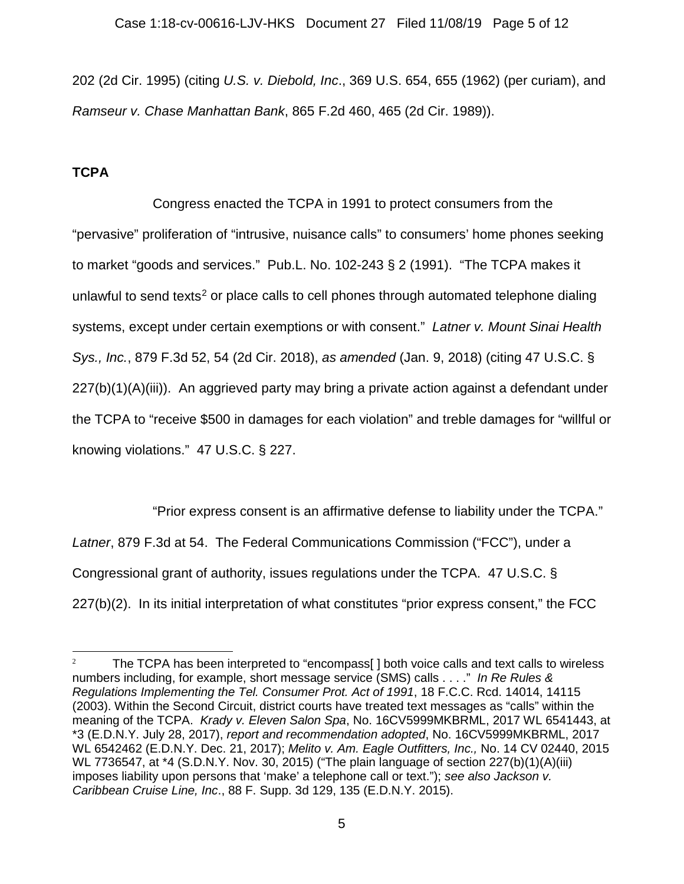202 (2d Cir. 1995) (citing *U.S. v. Diebold, Inc*., 369 U.S. 654, 655 (1962) (per curiam), and *Ramseur v. Chase Manhattan Bank*, 865 F.2d 460, 465 (2d Cir. 1989)).

# **TCPA**

Congress enacted the TCPA in 1991 to protect consumers from the "pervasive" proliferation of "intrusive, nuisance calls" to consumers' home phones seeking to market "goods and services." Pub.L. No. 102-243 § 2 (1991). "The TCPA makes it unlawful to send texts<sup>[2](#page-4-0)</sup> or place calls to cell phones through automated telephone dialing systems, except under certain exemptions or with consent." *Latner v. Mount Sinai Health Sys., Inc.*, 879 F.3d 52, 54 (2d Cir. 2018), *as amended* (Jan. 9, 2018) (citing 47 U.S.C. § 227(b)(1)(A)(iii)). An aggrieved party may bring a private action against a defendant under the TCPA to "receive \$500 in damages for each violation" and treble damages for "willful or knowing violations." 47 U.S.C. § 227.

"Prior express consent is an affirmative defense to liability under the TCPA." *Latner*, 879 F.3d at 54. The Federal Communications Commission ("FCC"), under a Congressional grant of authority, issues regulations under the TCPA. 47 U.S.C. § 227(b)(2). In its initial interpretation of what constitutes "prior express consent," the FCC

<span id="page-4-0"></span><sup>&</sup>lt;sup>2</sup> The TCPA has been interpreted to "encompass[] both voice calls and text calls to wireless numbers including, for example, short message service (SMS) calls . . . ." *In Re Rules & Regulations Implementing the Tel. Consumer Prot. Act of 1991*, 18 F.C.C. Rcd. 14014, 14115 (2003). Within the Second Circuit, district courts have treated text messages as "calls" within the meaning of the TCPA. *Krady v. Eleven Salon Spa*, No. 16CV5999MKBRML, 2017 WL 6541443, at \*3 (E.D.N.Y. July 28, 2017), *report and recommendation adopted*, No. 16CV5999MKBRML, 2017 WL 6542462 (E.D.N.Y. Dec. 21, 2017); *Melito v. Am. Eagle Outfitters, Inc.,* No. 14 CV 02440, 2015 WL 7736547, at \*4 (S.D.N.Y. Nov. 30, 2015) ("The plain language of section 227(b)(1)(A)(iii) imposes liability upon persons that 'make' a telephone call or text."); *see also Jackson v. Caribbean Cruise Line, Inc*., 88 F. Supp. 3d 129, 135 (E.D.N.Y. 2015).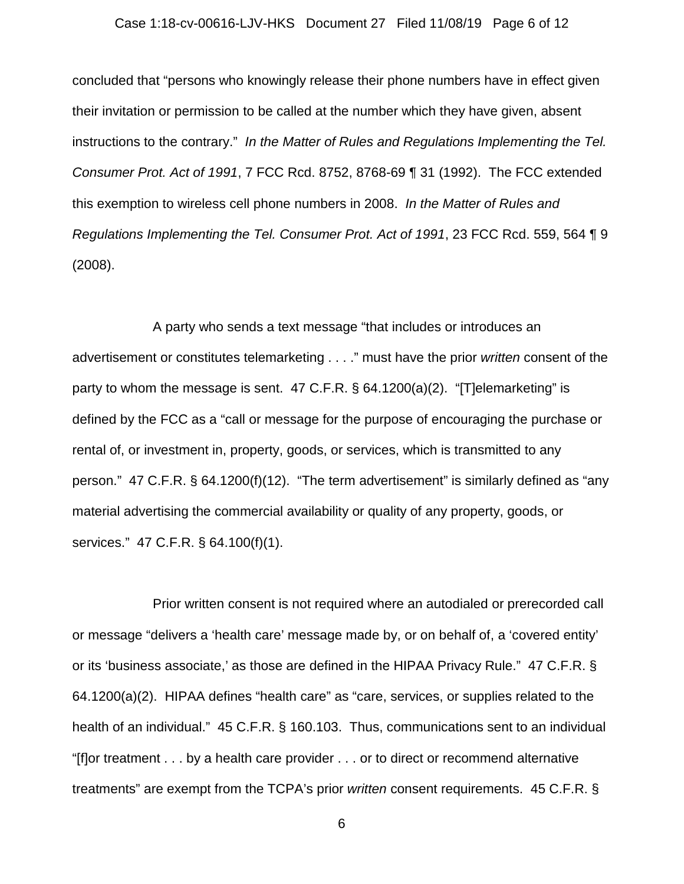#### Case 1:18-cv-00616-LJV-HKS Document 27 Filed 11/08/19 Page 6 of 12

concluded that "persons who knowingly release their phone numbers have in effect given their invitation or permission to be called at the number which they have given, absent instructions to the contrary." *In the Matter of Rules and Regulations Implementing the Tel. Consumer Prot. Act of 1991*, 7 FCC Rcd. 8752, 8768-69 ¶ 31 (1992). The FCC extended this exemption to wireless cell phone numbers in 2008. *In the Matter of Rules and Regulations Implementing the Tel. Consumer Prot. Act of 1991*, 23 FCC Rcd. 559, 564 ¶ 9 (2008).

A party who sends a text message "that includes or introduces an advertisement or constitutes telemarketing . . . ." must have the prior *written* consent of the party to whom the message is sent. 47 C.F.R. § 64.1200(a)(2). "[T]elemarketing" is defined by the FCC as a "call or message for the purpose of encouraging the purchase or rental of, or investment in, property, goods, or services, which is transmitted to any person." 47 C.F.R. § 64.1200(f)(12). "The term advertisement" is similarly defined as "any material advertising the commercial availability or quality of any property, goods, or services." 47 C.F.R. § 64.100(f)(1).

Prior written consent is not required where an autodialed or prerecorded call or message "delivers a 'health care' message made by, or on behalf of, a 'covered entity' or its 'business associate,' as those are defined in the HIPAA Privacy Rule." 47 C.F.R. § 64.1200(a)(2). HIPAA defines "health care" as "care, services, or supplies related to the health of an individual." 45 C.F.R. § 160.103. Thus, communications sent to an individual "[f]or treatment . . . by a health care provider . . . or to direct or recommend alternative treatments" are exempt from the TCPA's prior *written* consent requirements. 45 C.F.R. §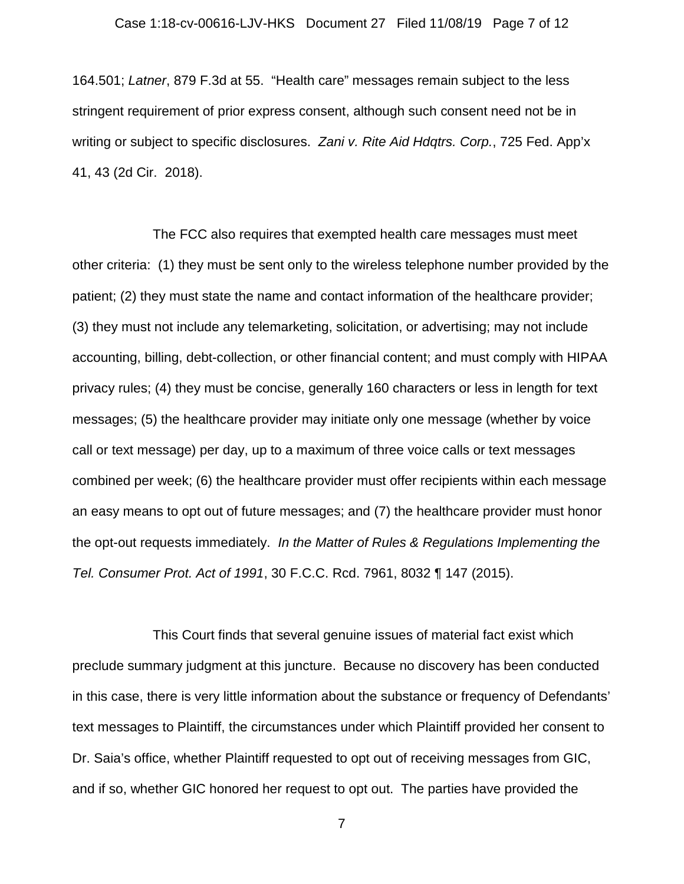#### Case 1:18-cv-00616-LJV-HKS Document 27 Filed 11/08/19 Page 7 of 12

164.501; *Latner*, 879 F.3d at 55. "Health care" messages remain subject to the less stringent requirement of prior express consent, although such consent need not be in writing or subject to specific disclosures. *Zani v. Rite Aid Hdqtrs. Corp.*, 725 Fed. App'x 41, 43 (2d Cir. 2018).

The FCC also requires that exempted health care messages must meet other criteria: (1) they must be sent only to the wireless telephone number provided by the patient; (2) they must state the name and contact information of the healthcare provider; (3) they must not include any telemarketing, solicitation, or advertising; may not include accounting, billing, debt-collection, or other financial content; and must comply with HIPAA privacy rules; (4) they must be concise, generally 160 characters or less in length for text messages; (5) the healthcare provider may initiate only one message (whether by voice call or text message) per day, up to a maximum of three voice calls or text messages combined per week; (6) the healthcare provider must offer recipients within each message an easy means to opt out of future messages; and (7) the healthcare provider must honor the opt-out requests immediately. *In the Matter of Rules & Regulations Implementing the Tel. Consumer Prot. Act of 1991*, 30 F.C.C. Rcd. 7961, 8032 ¶ 147 (2015).

This Court finds that several genuine issues of material fact exist which preclude summary judgment at this juncture. Because no discovery has been conducted in this case, there is very little information about the substance or frequency of Defendants' text messages to Plaintiff, the circumstances under which Plaintiff provided her consent to Dr. Saia's office, whether Plaintiff requested to opt out of receiving messages from GIC, and if so, whether GIC honored her request to opt out. The parties have provided the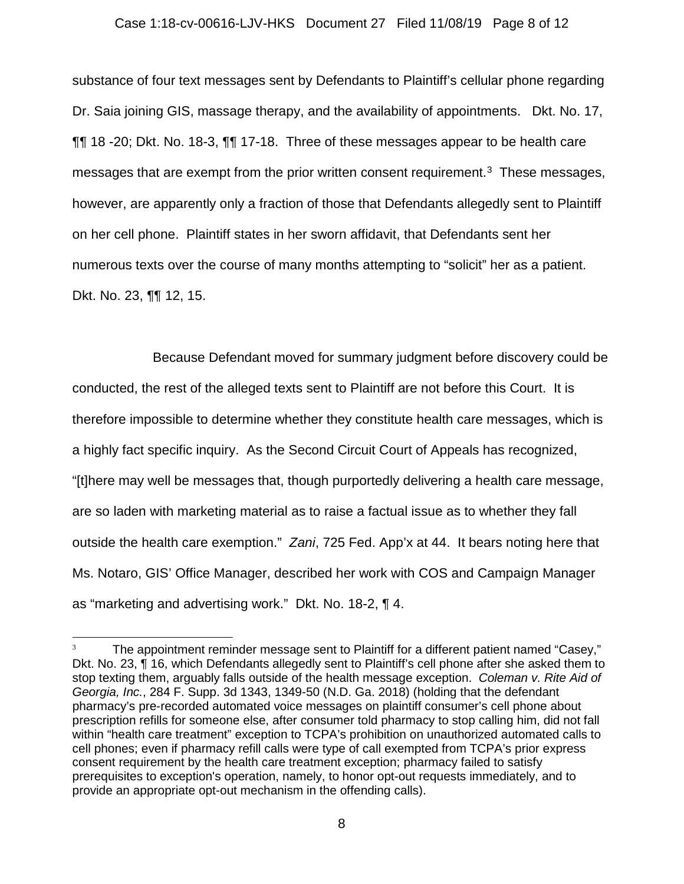#### Case 1:18-cv-00616-LJV-HKS Document 27 Filed 11/08/19 Page 8 of 12

substance of four text messages sent by Defendants to Plaintiff's cellular phone regarding Dr. Saia joining GIS, massage therapy, and the availability of appointments. Dkt. No. 17, ¶¶ 18 -20; Dkt. No. 18-3, ¶¶ 17-18. Three of these messages appear to be health care messages that are exempt from the prior written consent requirement.<sup>[3](#page-7-0)</sup> These messages, however, are apparently only a fraction of those that Defendants allegedly sent to Plaintiff on her cell phone. Plaintiff states in her sworn affidavit, that Defendants sent her numerous texts over the course of many months attempting to "solicit" her as a patient. Dkt. No. 23, ¶¶ 12, 15.

Because Defendant moved for summary judgment before discovery could be conducted, the rest of the alleged texts sent to Plaintiff are not before this Court. It is therefore impossible to determine whether they constitute health care messages, which is a highly fact specific inquiry. As the Second Circuit Court of Appeals has recognized, "[t]here may well be messages that, though purportedly delivering a health care message, are so laden with marketing material as to raise a factual issue as to whether they fall outside the health care exemption." *Zani*, 725 Fed. App'x at 44. It bears noting here that Ms. Notaro, GIS' Office Manager, described her work with COS and Campaign Manager as "marketing and advertising work." Dkt. No. 18-2, ¶ 4.

<span id="page-7-0"></span> $3 \text{$  The appointment reminder message sent to Plaintiff for a different patient named "Casey," Dkt. No. 23, ¶ 16, which Defendants allegedly sent to Plaintiff's cell phone after she asked them to stop texting them, arguably falls outside of the health message exception. *Coleman v. Rite Aid of Georgia, Inc.*, 284 F. Supp. 3d 1343, 1349-50 (N.D. Ga. 2018) (holding that the defendant pharmacy's pre-recorded automated voice messages on plaintiff consumer's cell phone about prescription refills for someone else, after consumer told pharmacy to stop calling him, did not fall within "health care treatment" exception to TCPA's prohibition on unauthorized automated calls to cell phones; even if pharmacy refill calls were type of call exempted from TCPA's prior express consent requirement by the health care treatment exception; pharmacy failed to satisfy prerequisites to exception's operation, namely, to honor opt-out requests immediately, and to provide an appropriate opt-out mechanism in the offending calls).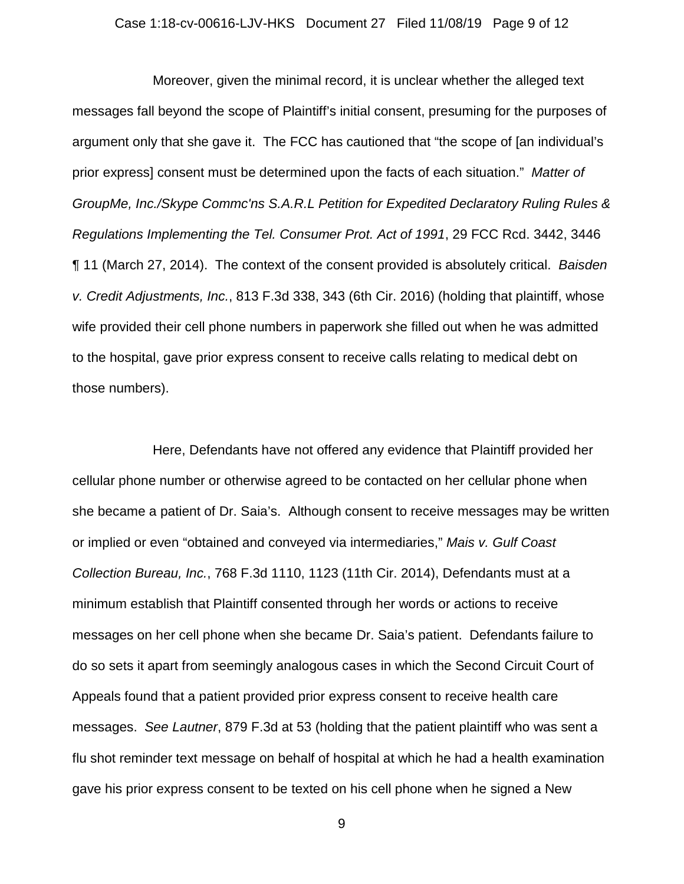#### Case 1:18-cv-00616-LJV-HKS Document 27 Filed 11/08/19 Page 9 of 12

Moreover, given the minimal record, it is unclear whether the alleged text messages fall beyond the scope of Plaintiff's initial consent, presuming for the purposes of argument only that she gave it. The FCC has cautioned that "the scope of [an individual's prior express] consent must be determined upon the facts of each situation." *Matter of GroupMe, Inc./Skype Commc'ns S.A.R.L Petition for Expedited Declaratory Ruling Rules & Regulations Implementing the Tel. Consumer Prot. Act of 1991*, 29 FCC Rcd. 3442, 3446 ¶ 11 (March 27, 2014). The context of the consent provided is absolutely critical. *Baisden v. Credit Adjustments, Inc.*, 813 F.3d 338, 343 (6th Cir. 2016) (holding that plaintiff, whose wife provided their cell phone numbers in paperwork she filled out when he was admitted to the hospital, gave prior express consent to receive calls relating to medical debt on those numbers).

Here, Defendants have not offered any evidence that Plaintiff provided her cellular phone number or otherwise agreed to be contacted on her cellular phone when she became a patient of Dr. Saia's. Although consent to receive messages may be written or implied or even "obtained and conveyed via intermediaries," *Mais v. Gulf Coast Collection Bureau, Inc.*, 768 F.3d 1110, 1123 (11th Cir. 2014), Defendants must at a minimum establish that Plaintiff consented through her words or actions to receive messages on her cell phone when she became Dr. Saia's patient. Defendants failure to do so sets it apart from seemingly analogous cases in which the Second Circuit Court of Appeals found that a patient provided prior express consent to receive health care messages. *See Lautner*, 879 F.3d at 53 (holding that the patient plaintiff who was sent a flu shot reminder text message on behalf of hospital at which he had a health examination gave his prior express consent to be texted on his cell phone when he signed a New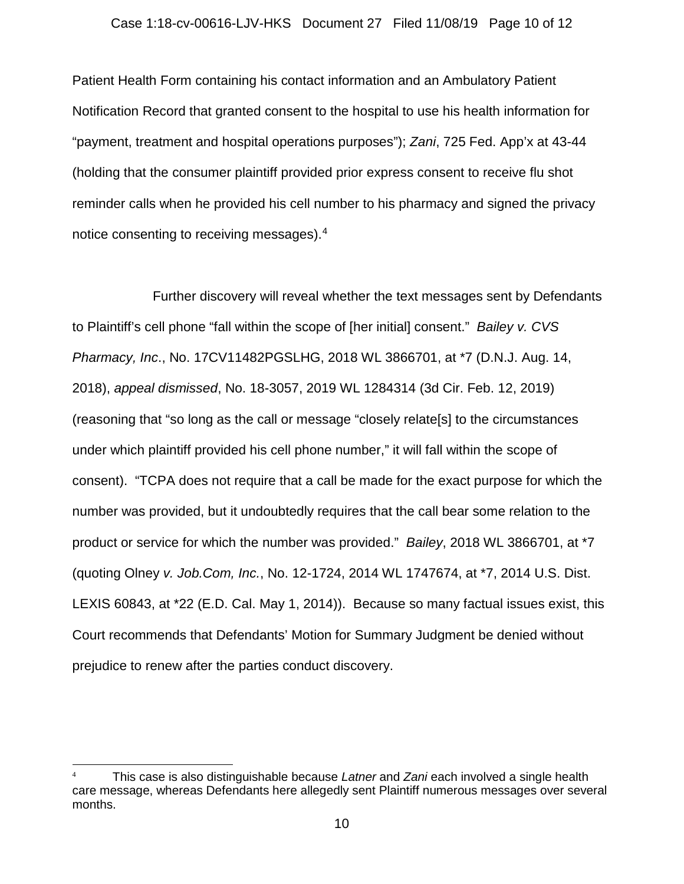#### Case 1:18-cv-00616-LJV-HKS Document 27 Filed 11/08/19 Page 10 of 12

Patient Health Form containing his contact information and an Ambulatory Patient Notification Record that granted consent to the hospital to use his health information for "payment, treatment and hospital operations purposes"); *Zani*, 725 Fed. App'x at 43-44 (holding that the consumer plaintiff provided prior express consent to receive flu shot reminder calls when he provided his cell number to his pharmacy and signed the privacy notice consenting to receiving messages).[4](#page-9-0)

Further discovery will reveal whether the text messages sent by Defendants to Plaintiff's cell phone "fall within the scope of [her initial] consent." *Bailey v. CVS Pharmacy, Inc*., No. 17CV11482PGSLHG, 2018 WL 3866701, at \*7 (D.N.J. Aug. 14, 2018), *appeal dismissed*, No. 18-3057, 2019 WL 1284314 (3d Cir. Feb. 12, 2019) (reasoning that "so long as the call or message "closely relate[s] to the circumstances under which plaintiff provided his cell phone number," it will fall within the scope of consent). "TCPA does not require that a call be made for the exact purpose for which the number was provided, but it undoubtedly requires that the call bear some relation to the product or service for which the number was provided." *Bailey*, 2018 WL 3866701, at \*7 (quoting Olney *v. Job.Com, Inc.*, No. 12-1724, 2014 WL 1747674, at \*7, 2014 U.S. Dist. LEXIS 60843, at \*22 (E.D. Cal. May 1, 2014)). Because so many factual issues exist, this Court recommends that Defendants' Motion for Summary Judgment be denied without prejudice to renew after the parties conduct discovery.

<span id="page-9-0"></span> <sup>4</sup> This case is also distinguishable because *Latner* and *Zani* each involved a single health care message, whereas Defendants here allegedly sent Plaintiff numerous messages over several months.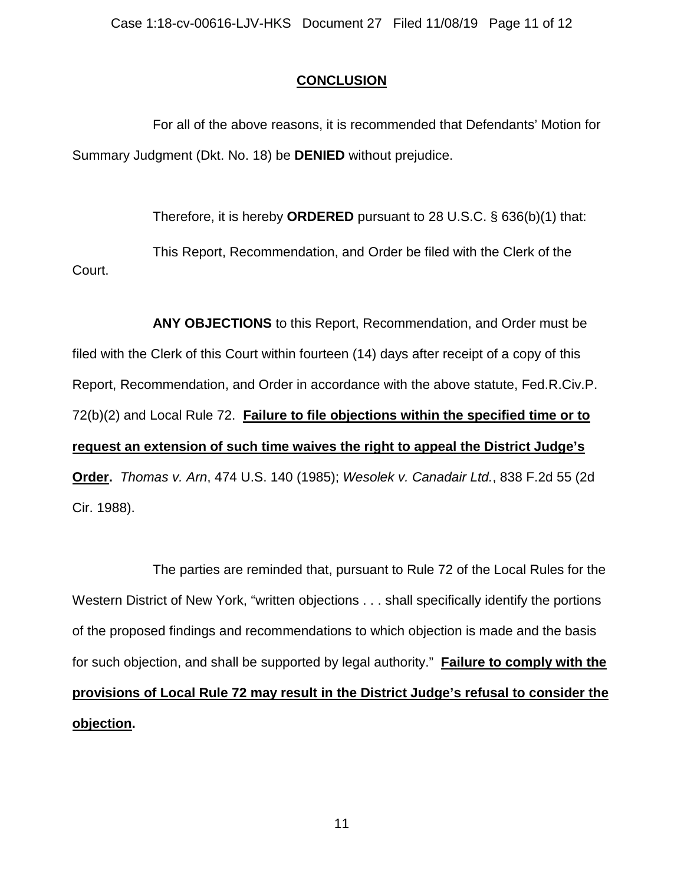# **CONCLUSION**

For all of the above reasons, it is recommended that Defendants' Motion for Summary Judgment (Dkt. No. 18) be **DENIED** without prejudice.

Therefore, it is hereby **ORDERED** pursuant to 28 U.S.C. § 636(b)(1) that:

This Report, Recommendation, and Order be filed with the Clerk of the Court.

**ANY OBJECTIONS** to this Report, Recommendation, and Order must be filed with the Clerk of this Court within fourteen (14) days after receipt of a copy of this Report, Recommendation, and Order in accordance with the above statute, Fed.R.Civ.P. 72(b)(2) and Local Rule 72. **Failure to file objections within the specified time or to request an extension of such time waives the right to appeal the District Judge's Order.** *Thomas v. Arn*, 474 U.S. 140 (1985); *Wesolek v. Canadair Ltd.*, 838 F.2d 55 (2d Cir. 1988).

The parties are reminded that, pursuant to Rule 72 of the Local Rules for the Western District of New York, "written objections . . . shall specifically identify the portions of the proposed findings and recommendations to which objection is made and the basis for such objection, and shall be supported by legal authority." **Failure to comply with the provisions of Local Rule 72 may result in the District Judge's refusal to consider the objection.**